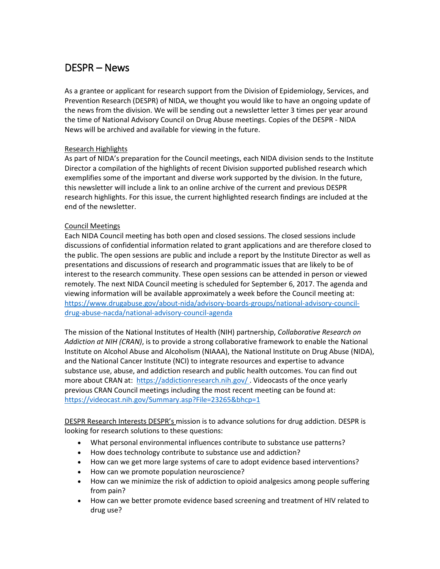# DESPR – News

As a grantee or applicant for research support from the Division of Epidemiology, Services, and Prevention Research (DESPR) of NIDA, we thought you would like to have an ongoing update of the news from the division. We will be sending out a newsletter letter 3 times per year around the time of National Advisory Council on Drug Abuse meetings. Copies of the DESPR - NIDA News will be archived and available for viewing in the future.

## Research Highlights

As part of NIDA's preparation for the Council meetings, each NIDA division sends to the Institute Director a compilation of the highlights of recent Division supported published research which exemplifies some of the important and diverse work supported by the division. In the future, this newsletter will include a link to an online archive of the current and previous DESPR research highlights. For this issue, the current highlighted research findings are included at the end of the newsletter.

## Council Meetings

Each NIDA Council meeting has both open and closed sessions. The closed sessions include discussions of confidential information related to grant applications and are therefore closed to the public. The open sessions are public and include a report by the Institute Director as well as presentations and discussions of research and programmatic issues that are likely to be of interest to the research community. These open sessions can be attended in person or viewed remotely. The next NIDA Council meeting is scheduled for September 6, 2017. The agenda and viewing information will be available approximately a week before the Council meeting at: [https://www.drugabuse.gov/about-nida/advisory-boards-groups/national-advisory-council](https://www.drugabuse.gov/about-nida/advisory-boards-groups/national-advisory-council-drug-abuse-nacda/national-advisory-council-agenda)[drug-abuse-nacda/national-advisory-council-agenda](https://www.drugabuse.gov/about-nida/advisory-boards-groups/national-advisory-council-drug-abuse-nacda/national-advisory-council-agenda)

The mission of the National Institutes of Health (NIH) partnership, *Collaborative Research on Addiction at NIH (CRAN)*, is to provide a strong collaborative framework to enable the National Institute on Alcohol Abuse and Alcoholism (NIAAA), the National Institute on Drug Abuse (NIDA), and the National Cancer Institute (NCI) to integrate resources and expertise to advance substance use, abuse, and addiction research and public health outcomes. You can find out more about CRAN at: https://addictionresearch.nih.gov/. Videocasts of the once yearly previous CRAN Council meetings including the most recent meeting can be found at: <https://videocast.nih.gov/Summary.asp?File=23265&bhcp=1>

DESPR Research Interests DESPR's mission is to advance solutions for drug addiction. DESPR is looking for research solutions to these questions:

- What personal environmental influences contribute to substance use patterns?
- How does technology contribute to substance use and addiction?
- How can we get more large systems of care to adopt evidence based interventions?
- How can we promote population neuroscience?
- How can we minimize the risk of addiction to opioid analgesics among people suffering from pain?
- How can we better promote evidence based screening and treatment of HIV related to drug use?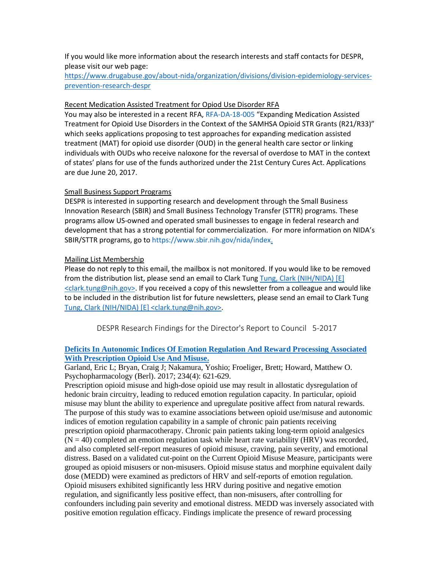If you would like more information about the research interests and staff contacts for DESPR, please visit our web page:

[https://www.drugabuse.gov/about-nida/organization/divisions/division-epidemiology-services](https://www.drugabuse.gov/about-nida/organization/divisions/division-epidemiology-services-prevention-research-despr)[prevention-research-despr](https://www.drugabuse.gov/about-nida/organization/divisions/division-epidemiology-services-prevention-research-despr)

## Recent Medication Assisted Treatment for Opiod Use Disorder RFA

You may also be interested in a recent RFA, [RFA-DA-18-005](https://grants.nih.gov/grants/guide/rfa-files/RFA-DA-18-005.html) "Expanding Medication Assisted Treatment for Opioid Use Disorders in the Context of the SAMHSA Opioid STR Grants (R21/R33)" which seeks applications proposing to test approaches for expanding medication assisted treatment (MAT) for opioid use disorder (OUD) in the general health care sector or linking individuals with OUDs who receive naloxone for the reversal of overdose to MAT in the context of states' plans for use of the funds authorized under the 21st Century Cures Act. Applications are due June 20, 2017.

## Small Business Support Programs

DESPR is interested in supporting research and development through the Small Business Innovation Research (SBIR) and Small Business Technology Transfer (STTR) programs. These programs allow US-owned and operated small businesses to engage in federal research and development that has a strong potential for commercialization. For more information on NIDA's SBIR/STTR programs, go t[o https://www.sbir.nih.gov/nida/index.](https://www.sbir.nih.gov/nida/index)

## Mailing List Membership

Please do not reply to this email, the mailbox is not monitored. If you would like to be removed from the distribution list, please send an email to Clark Tung Tung, Clark (NIH/NIDA) [E] <clark.tung@nih.gov>. If you received a copy of this newsletter from a colleague and would like to be included in the distribution list for future newsletters, please send an email to Clark Tung Tung, Clark (NIH/NIDA) [E] <clark.tung@nih.gov>.

DESPR Research Findings for the Director's Report to Council 5-2017

## **[Deficits In Autonomic Indices Of Emotion Regulation And Reward Processing Associated](http://www.ncbi.nlm.nih.gov/pubmed/27933366)  [With Prescription Opioid Use And Misuse.](http://www.ncbi.nlm.nih.gov/pubmed/27933366)**

Garland, Eric L; Bryan, Craig J; Nakamura, Yoshio; Froeliger, Brett; Howard, Matthew O. Psychopharmacology (Berl). 2017; 234(4): 621-629.

Prescription opioid misuse and high-dose opioid use may result in allostatic dysregulation of hedonic brain circuitry, leading to reduced emotion regulation capacity. In particular, opioid misuse may blunt the ability to experience and upregulate positive affect from natural rewards. The purpose of this study was to examine associations between opioid use/misuse and autonomic indices of emotion regulation capability in a sample of chronic pain patients receiving prescription opioid pharmacotherapy. Chronic pain patients taking long-term opioid analgesics  $(N = 40)$  completed an emotion regulation task while heart rate variability (HRV) was recorded, and also completed self-report measures of opioid misuse, craving, pain severity, and emotional distress. Based on a validated cut-point on the Current Opioid Misuse Measure, participants were grouped as opioid misusers or non-misusers. Opioid misuse status and morphine equivalent daily dose (MEDD) were examined as predictors of HRV and self-reports of emotion regulation. Opioid misusers exhibited significantly less HRV during positive and negative emotion regulation, and significantly less positive effect, than non-misusers, after controlling for confounders including pain severity and emotional distress. MEDD was inversely associated with positive emotion regulation efficacy. Findings implicate the presence of reward processing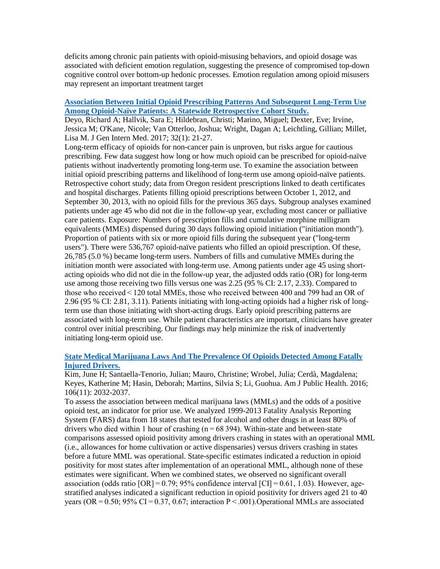deficits among chronic pain patients with opioid-misusing behaviors, and opioid dosage was associated with deficient emotion regulation, suggesting the presence of compromised top-down cognitive control over bottom-up hedonic processes. Emotion regulation among opioid misusers may represent an important treatment target

## **[Association Between Initial Opioid Prescribing Patterns And Subsequent Long-Term Use](http://www.ncbi.nlm.nih.gov/pubmed/27484682)  [Among Opioid-Naïve Patients: A Statewide Retrospective Cohort Study.](http://www.ncbi.nlm.nih.gov/pubmed/27484682)**

Deyo, Richard A; Hallvik, Sara E; Hildebran, Christi; Marino, Miguel; Dexter, Eve; Irvine, Jessica M; O'Kane, Nicole; Van Otterloo, Joshua; Wright, Dagan A; Leichtling, Gillian; Millet, Lisa M. J Gen Intern Med. 2017; 32(1): 21-27.

Long-term efficacy of opioids for non-cancer pain is unproven, but risks argue for cautious prescribing. Few data suggest how long or how much opioid can be prescribed for opioid-naïve patients without inadvertently promoting long-term use. To examine the association between initial opioid prescribing patterns and likelihood of long-term use among opioid-naïve patients. Retrospective cohort study; data from Oregon resident prescriptions linked to death certificates and hospital discharges. Patients filling opioid prescriptions between October 1, 2012, and September 30, 2013, with no opioid fills for the previous 365 days. Subgroup analyses examined patients under age 45 who did not die in the follow-up year, excluding most cancer or palliative care patients. Exposure: Numbers of prescription fills and cumulative morphine milligram equivalents (MMEs) dispensed during 30 days following opioid initiation ("initiation month"). Proportion of patients with six or more opioid fills during the subsequent year ("long-term users"). There were 536,767 opioid-naïve patients who filled an opioid prescription. Of these, 26,785 (5.0 %) became long-term users. Numbers of fills and cumulative MMEs during the initiation month were associated with long-term use. Among patients under age 45 using shortacting opioids who did not die in the follow-up year, the adjusted odds ratio (OR) for long-term use among those receiving two fills versus one was 2.25 (95 % CI: 2.17, 2.33). Compared to those who received < 120 total MMEs, those who received between 400 and 799 had an OR of 2.96 (95 % CI: 2.81, 3.11). Patients initiating with long-acting opioids had a higher risk of longterm use than those initiating with short-acting drugs. Early opioid prescribing patterns are associated with long-term use. While patient characteristics are important, clinicians have greater control over initial prescribing. Our findings may help minimize the risk of inadvertently initiating long-term opioid use.

## **[State Medical Marijuana Laws And The Prevalence Of Opioids Detected Among Fatally](http://www.ncbi.nlm.nih.gov/pubmed/27631755)  [Injured Drivers.](http://www.ncbi.nlm.nih.gov/pubmed/27631755)**

Kim, June H; Santaella-Tenorio, Julian; Mauro, Christine; Wrobel, Julia; Cerdà, Magdalena; Keyes, Katherine M; Hasin, Deborah; Martins, Silvia S; Li, Guohua. Am J Public Health. 2016; 106(11): 2032-2037.

To assess the association between medical marijuana laws (MMLs) and the odds of a positive opioid test, an indicator for prior use. We analyzed 1999-2013 Fatality Analysis Reporting System (FARS) data from 18 states that tested for alcohol and other drugs in at least 80% of drivers who died within 1 hour of crashing  $(n = 68394)$ . Within-state and between-state comparisons assessed opioid positivity among drivers crashing in states with an operational MML (i.e., allowances for home cultivation or active dispensaries) versus drivers crashing in states before a future MML was operational. State-specific estimates indicated a reduction in opioid positivity for most states after implementation of an operational MML, although none of these estimates were significant. When we combined states, we observed no significant overall association (odds ratio  $[OR] = 0.79$ ; 95% confidence interval  $[CI] = 0.61, 1.03$ ). However, agestratified analyses indicated a significant reduction in opioid positivity for drivers aged 21 to 40 years (OR =  $0.50$ ; 95% CI = 0.37, 0.67; interaction P < .001). Operational MMLs are associated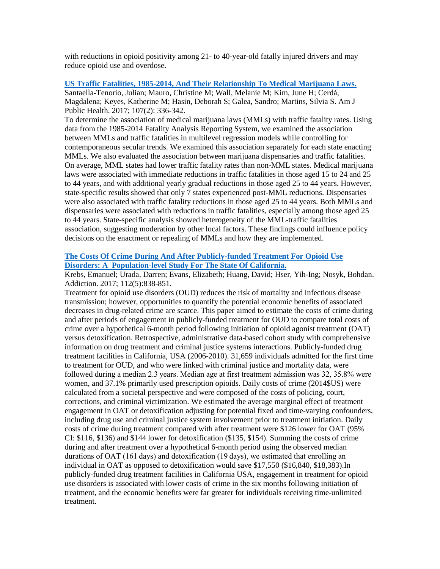with reductions in opioid positivity among 21- to 40-year-old fatally injured drivers and may reduce opioid use and overdose.

## **US [Traffic Fatalities, 1985-2014, And Their Relationship To Medical Marijuana Laws.](http://www.ncbi.nlm.nih.gov/pubmed/27997245)**

Santaella-Tenorio, Julian; Mauro, Christine M; Wall, Melanie M; Kim, June H; Cerdá, Magdalena; Keyes, Katherine M; Hasin, Deborah S; Galea, Sandro; Martins, Silvia S. Am J Public Health. 2017; 107(2): 336-342.

To determine the association of medical marijuana laws (MMLs) with traffic fatality rates. Using data from the 1985-2014 Fatality Analysis Reporting System, we examined the association between MMLs and traffic fatalities in multilevel regression models while controlling for contemporaneous secular trends. We examined this association separately for each state enacting MMLs. We also evaluated the association between marijuana dispensaries and traffic fatalities. On average, MML states had lower traffic fatality rates than non-MML states. Medical marijuana laws were associated with immediate reductions in traffic fatalities in those aged 15 to 24 and 25 to 44 years, and with additional yearly gradual reductions in those aged 25 to 44 years. However, state-specific results showed that only 7 states experienced post-MML reductions. Dispensaries were also associated with traffic fatality reductions in those aged 25 to 44 years. Both MMLs and dispensaries were associated with reductions in traffic fatalities, especially among those aged 25 to 44 years. State-specific analysis showed heterogeneity of the MML-traffic fatalities association, suggesting moderation by other local factors. These findings could influence policy decisions on the enactment or repealing of MMLs and how they are implemented.

## **[The Costs Of Crime During And After Publicly-funded Treatment For Opioid Use](http://www.ncbi.nlm.nih.gov/pubmed/27981691)  Disorders: A [Population-level Study For The State Of California.](http://www.ncbi.nlm.nih.gov/pubmed/27981691)**

Krebs, Emanuel; Urada, Darren; Evans, Elizabeth; Huang, David; Hser, Yih-Ing; Nosyk, Bohdan. Addiction. 2017; 112(5):838-851.

Treatment for opioid use disorders (OUD) reduces the risk of mortality and infectious disease transmission; however, opportunities to quantify the potential economic benefits of associated decreases in drug-related crime are scarce. This paper aimed to estimate the costs of crime during and after periods of engagement in publicly-funded treatment for OUD to compare total costs of crime over a hypothetical 6-month period following initiation of opioid agonist treatment (OAT) versus detoxification. Retrospective, administrative data-based cohort study with comprehensive information on drug treatment and criminal justice systems interactions. Publicly-funded drug treatment facilities in California, USA (2006-2010). 31,659 individuals admitted for the first time to treatment for OUD, and who were linked with criminal justice and mortality data, were followed during a median 2.3 years. Median age at first treatment admission was 32, 35.8% were women, and 37.1% primarily used prescription opioids. Daily costs of crime (2014\$US) were calculated from a societal perspective and were composed of the costs of policing, court, corrections, and criminal victimization. We estimated the average marginal effect of treatment engagement in OAT or detoxification adjusting for potential fixed and time-varying confounders, including drug use and criminal justice system involvement prior to treatment initiation. Daily costs of crime during treatment compared with after treatment were \$126 lower for OAT (95% CI: \$116, \$136) and \$144 lower for detoxification (\$135, \$154). Summing the costs of crime during and after treatment over a hypothetical 6-month period using the observed median durations of OAT (161 days) and detoxification (19 days), we estimated that enrolling an individual in OAT as opposed to detoxification would save \$17,550 (\$16,840, \$18,383).In publicly-funded drug treatment facilities in California USA, engagement in treatment for opioid use disorders is associated with lower costs of crime in the six months following initiation of treatment, and the economic benefits were far greater for individuals receiving time-unlimited treatment.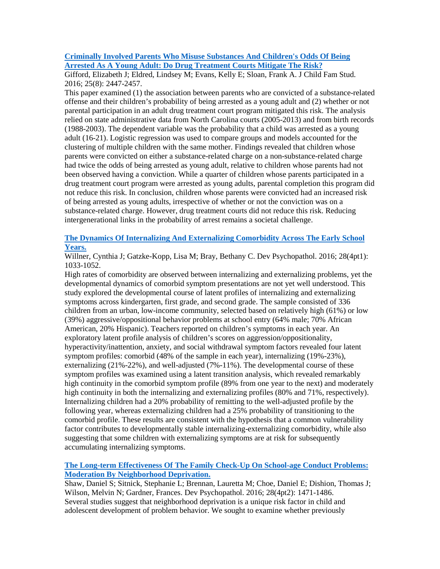## **[Criminally Involved Parents Who Misuse Substances And Children's Odds Of Being](http://www.ncbi.nlm.nih.gov/pubmed/27840567)  [Arrested As A Young Adult: Do Drug Treatment Courts Mitigate The Risk?](http://www.ncbi.nlm.nih.gov/pubmed/27840567)**

Gifford, Elizabeth J; Eldred, Lindsey M; Evans, Kelly E; Sloan, Frank A. J Child Fam Stud. 2016; 25(8): 2447-2457.

This paper examined (1) the association between parents who are convicted of a substance-related offense and their children's probability of being arrested as a young adult and (2) whether or not parental participation in an adult drug treatment court program mitigated this risk. The analysis relied on state administrative data from North Carolina courts (2005-2013) and from birth records (1988-2003). The dependent variable was the probability that a child was arrested as a young adult (16-21). Logistic regression was used to compare groups and models accounted for the clustering of multiple children with the same mother. Findings revealed that children whose parents were convicted on either a substance-related charge on a non-substance-related charge had twice the odds of being arrested as young adult, relative to children whose parents had not been observed having a conviction. While a quarter of children whose parents participated in a drug treatment court program were arrested as young adults, parental completion this program did not reduce this risk. In conclusion, children whose parents were convicted had an increased risk of being arrested as young adults, irrespective of whether or not the conviction was on a substance-related charge. However, drug treatment courts did not reduce this risk. Reducing intergenerational links in the probability of arrest remains a societal challenge.

## **[The Dynamics Of Internalizing And Externalizing Comorbidity Across The Early School](http://www.ncbi.nlm.nih.gov/pubmed/27739391)  [Years.](http://www.ncbi.nlm.nih.gov/pubmed/27739391)**

Willner, Cynthia J; Gatzke-Kopp, Lisa M; Bray, Bethany C. Dev Psychopathol. 2016; 28(4pt1): 1033-1052.

High rates of comorbidity are observed between internalizing and externalizing problems, yet the developmental dynamics of comorbid symptom presentations are not yet well understood. This study explored the developmental course of latent profiles of internalizing and externalizing symptoms across kindergarten, first grade, and second grade. The sample consisted of 336 children from an urban, low-income community, selected based on relatively high (61%) or low (39%) aggressive/oppositional behavior problems at school entry (64% male; 70% African American, 20% Hispanic). Teachers reported on children's symptoms in each year. An exploratory latent profile analysis of children's scores on aggression/oppositionality, hyperactivity/inattention, anxiety, and social withdrawal symptom factors revealed four latent symptom profiles: comorbid (48% of the sample in each year), internalizing (19%-23%), externalizing (21%-22%), and well-adjusted (7%-11%). The developmental course of these symptom profiles was examined using a latent transition analysis, which revealed remarkably high continuity in the comorbid symptom profile (89% from one year to the next) and moderately high continuity in both the internalizing and externalizing profiles (80% and 71%, respectively). Internalizing children had a 20% probability of remitting to the well-adjusted profile by the following year, whereas externalizing children had a 25% probability of transitioning to the comorbid profile. These results are consistent with the hypothesis that a common vulnerability factor contributes to developmentally stable internalizing-externalizing comorbidity, while also suggesting that some children with externalizing symptoms are at risk for subsequently accumulating internalizing symptoms.

## **[The Long-term Effectiveness Of The Family Check-Up On School-age Conduct Problems:](http://www.ncbi.nlm.nih.gov/pubmed/26646197)  [Moderation By Neighborhood Deprivation.](http://www.ncbi.nlm.nih.gov/pubmed/26646197)**

Shaw, Daniel S; Sitnick, Stephanie L; Brennan, Lauretta M; Choe, Daniel E; Dishion, Thomas J; Wilson, Melvin N; Gardner, Frances. Dev Psychopathol. 2016; 28(4pt2): 1471-1486. Several studies suggest that neighborhood deprivation is a unique risk factor in child and adolescent development of problem behavior. We sought to examine whether previously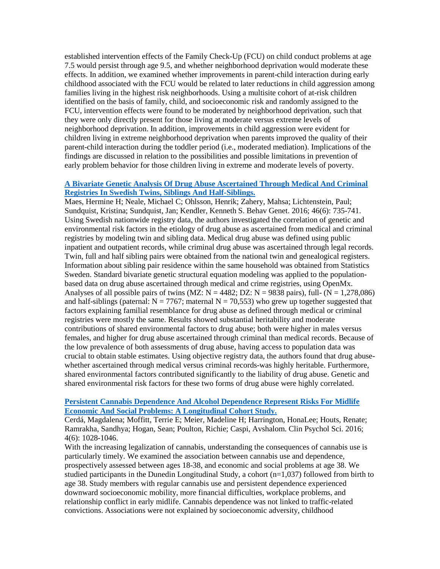established intervention effects of the Family Check-Up (FCU) on child conduct problems at age 7.5 would persist through age 9.5, and whether neighborhood deprivation would moderate these effects. In addition, we examined whether improvements in parent-child interaction during early childhood associated with the FCU would be related to later reductions in child aggression among families living in the highest risk neighborhoods. Using a multisite cohort of at-risk children identified on the basis of family, child, and socioeconomic risk and randomly assigned to the FCU, intervention effects were found to be moderated by neighborhood deprivation, such that they were only directly present for those living at moderate versus extreme levels of neighborhood deprivation. In addition, improvements in child aggression were evident for children living in extreme neighborhood deprivation when parents improved the quality of their parent-child interaction during the toddler period (i.e., moderated mediation). Implications of the findings are discussed in relation to the possibilities and possible limitations in prevention of early problem behavior for those children living in extreme and moderate levels of poverty.

#### **A Bivariate Genetic Analysis Of [Drug Abuse Ascertained Through Medical And Criminal](http://www.ncbi.nlm.nih.gov/pubmed/27480873)  [Registries In Swedish Twins, Siblings And Half-Siblings.](http://www.ncbi.nlm.nih.gov/pubmed/27480873)**

Maes, Hermine H; Neale, Michael C; Ohlsson, Henrik; Zahery, Mahsa; Lichtenstein, Paul; Sundquist, Kristina; Sundquist, Jan; Kendler, Kenneth S. Behav Genet. 2016; 46(6): 735-741. Using Swedish nationwide registry data, the authors investigated the correlation of genetic and environmental risk factors in the etiology of drug abuse as ascertained from medical and criminal registries by modeling twin and sibling data. Medical drug abuse was defined using public inpatient and outpatient records, while criminal drug abuse was ascertained through legal records. Twin, full and half sibling pairs were obtained from the national twin and genealogical registers. Information about sibling pair residence within the same household was obtained from Statistics Sweden. Standard bivariate genetic structural equation modeling was applied to the populationbased data on drug abuse ascertained through medical and crime registries, using OpenMx. Analyses of all possible pairs of twins (MZ:  $N = 4482$ ; DZ:  $N = 9838$  pairs), full- ( $N = 1,278,086$ ) and half-siblings (paternal:  $N = 7767$ ; maternal  $N = 70,553$ ) who grew up together suggested that factors explaining familial resemblance for drug abuse as defined through medical or criminal registries were mostly the same. Results showed substantial heritability and moderate contributions of shared environmental factors to drug abuse; both were higher in males versus females, and higher for drug abuse ascertained through criminal than medical records. Because of the low prevalence of both assessments of drug abuse, having access to population data was crucial to obtain stable estimates. Using objective registry data, the authors found that drug abusewhether ascertained through medical versus criminal records-was highly heritable. Furthermore, shared environmental factors contributed significantly to the liability of drug abuse. Genetic and shared environmental risk factors for these two forms of drug abuse were highly correlated.

## **[Persistent Cannabis Dependence And Alcohol Dependence Represent Risks For Midlife](http://www.ncbi.nlm.nih.gov/pubmed/28008372)  [Economic And Social Problems: A Longitudinal Cohort Study.](http://www.ncbi.nlm.nih.gov/pubmed/28008372)**

Cerdá, Magdalena; Moffitt, Terrie E; Meier, Madeline H; Harrington, HonaLee; Houts, Renate; Ramrakha, Sandhya; Hogan, Sean; Poulton, Richie; Caspi, Avshalom. Clin Psychol Sci. 2016; 4(6): 1028-1046.

With the increasing legalization of cannabis, understanding the consequences of cannabis use is particularly timely. We examined the association between cannabis use and dependence, prospectively assessed between ages 18-38, and economic and social problems at age 38. We studied participants in the Dunedin Longitudinal Study, a cohort (n=1,037) followed from birth to age 38. Study members with regular cannabis use and persistent dependence experienced downward socioeconomic mobility, more financial difficulties, workplace problems, and relationship conflict in early midlife. Cannabis dependence was not linked to traffic-related convictions. Associations were not explained by socioeconomic adversity, childhood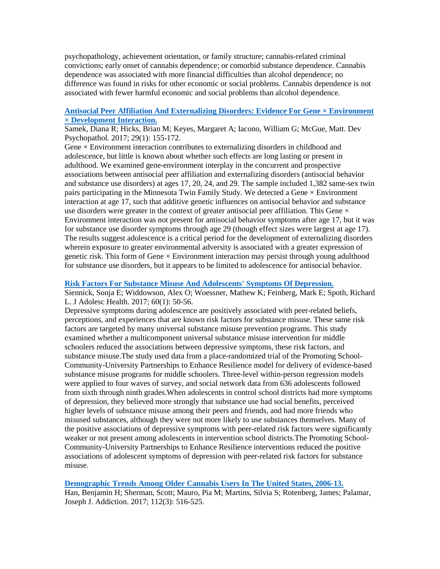psychopathology, achievement orientation, or family structure; cannabis-related criminal convictions; early onset of cannabis dependence; or comorbid substance dependence. Cannabis dependence was associated with more financial difficulties than alcohol dependence; no difference was found in risks for other economic or social problems. Cannabis dependence is not associated with fewer harmful economic and social problems than alcohol dependence.

## **[Antisocial Peer Affiliation And Externalizing Disorders: Evidence For Gene × Environment](http://www.ncbi.nlm.nih.gov/pubmed/27580681)  [× Development Interaction.](http://www.ncbi.nlm.nih.gov/pubmed/27580681)**

Samek, Diana R; Hicks, Brian M; Keyes, Margaret A; Iacono, William G; McGue, Matt. Dev Psychopathol. 2017; 29(1): 155-172.

Gene  $\times$  Environment interaction contributes to externalizing disorders in childhood and adolescence, but little is known about whether such effects are long lasting or present in adulthood. We examined gene-environment interplay in the concurrent and prospective associations between antisocial peer affiliation and externalizing disorders (antisocial behavior and substance use disorders) at ages 17, 20, 24, and 29. The sample included 1,382 same-sex twin pairs participating in the Minnesota Twin Family Study. We detected a Gene  $\times$  Environment interaction at age 17, such that additive genetic influences on antisocial behavior and substance use disorders were greater in the context of greater antisocial peer affiliation. This Gene  $\times$ Environment interaction was not present for antisocial behavior symptoms after age 17, but it was for substance use disorder symptoms through age 29 (though effect sizes were largest at age 17). The results suggest adolescence is a critical period for the development of externalizing disorders wherein exposure to greater environmental adversity is associated with a greater expression of genetic risk. This form of Gene  $\times$  Environment interaction may persist through young adulthood for substance use disorders, but it appears to be limited to adolescence for antisocial behavior.

#### **[Risk Factors For Substance Misuse And Adolescents' Symptoms Of](http://www.ncbi.nlm.nih.gov/pubmed/27751712) Depression.**

Siennick, Sonja E; Widdowson, Alex O; Woessner, Mathew K; Feinberg, Mark E; Spoth, Richard L. J Adolesc Health. 2017; 60(1): 50-56.

Depressive symptoms during adolescence are positively associated with peer-related beliefs, perceptions, and experiences that are known risk factors for substance misuse. These same risk factors are targeted by many universal substance misuse prevention programs. This study examined whether a multicomponent universal substance misuse intervention for middle schoolers reduced the associations between depressive symptoms, these risk factors, and substance misuse.The study used data from a place-randomized trial of the Promoting School-Community-University Partnerships to Enhance Resilience model for delivery of evidence-based substance misuse programs for middle schoolers. Three-level within-person regression models were applied to four waves of survey, and social network data from 636 adolescents followed from sixth through ninth grades.When adolescents in control school districts had more symptoms of depression, they believed more strongly that substance use had social benefits, perceived higher levels of substance misuse among their peers and friends, and had more friends who misused substances, although they were not more likely to use substances themselves. Many of the positive associations of depressive symptoms with peer-related risk factors were significantly weaker or not present among adolescents in intervention school districts.The Promoting School-Community-University Partnerships to Enhance Resilience interventions reduced the positive associations of adolescent symptoms of depression with peer-related risk factors for substance misuse.

#### **[Demographic Trends Among Older Cannabis Users In The United States, 2006-13.](http://www.ncbi.nlm.nih.gov/pubmed/27767235)**

Han, Benjamin H; Sherman, Scott; Mauro, Pia M; Martins, Silvia S; Rotenberg, James; Palamar, Joseph J. Addiction. 2017; 112(3): 516-525.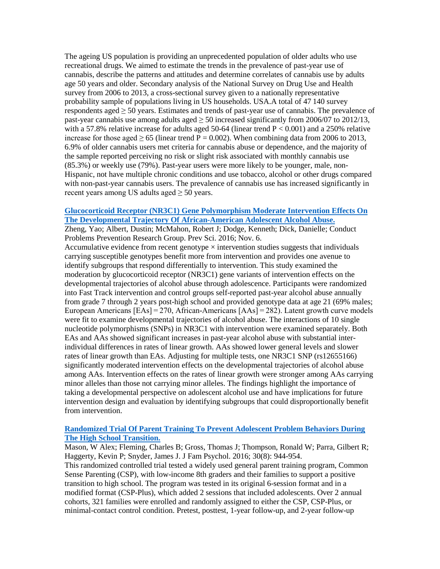The ageing US population is providing an unprecedented population of older adults who use recreational drugs. We aimed to estimate the trends in the prevalence of past-year use of cannabis, describe the patterns and attitudes and determine correlates of cannabis use by adults age 50 years and older. Secondary analysis of the National Survey on Drug Use and Health survey from 2006 to 2013, a cross-sectional survey given to a nationally representative probability sample of populations living in US households. USA.A total of 47 140 survey respondents aged  $\geq$  50 years. Estimates and trends of past-year use of cannabis. The prevalence of past-year cannabis use among adults aged  $\geq$  50 increased significantly from 2006/07 to 2012/13, with a 57.8% relative increase for adults aged 50-64 (linear trend  $P < 0.001$ ) and a 250% relative increase for those aged  $\geq 65$  (linear trend P = 0.002). When combining data from 2006 to 2013, 6.9% of older cannabis users met criteria for cannabis abuse or dependence, and the majority of the sample reported perceiving no risk or slight risk associated with monthly cannabis use (85.3%) or weekly use (79%). Past-year users were more likely to be younger, male, non-Hispanic, not have multiple chronic conditions and use tobacco, alcohol or other drugs compared with non-past-year cannabis users. The prevalence of cannabis use has increased significantly in recent years among US adults aged  $\geq$  50 years.

## **[Glucocorticoid Receptor \(NR3C1\) Gene Polymorphism Moderate Intervention Effects On](http://www.ncbi.nlm.nih.gov/pubmed/27817096)  [The Developmental Trajectory Of African-American Adolescent Alcohol Abuse.](http://www.ncbi.nlm.nih.gov/pubmed/27817096)**

Zheng, Yao; Albert, Dustin; McMahon, Robert J; Dodge, Kenneth; Dick, Danielle; Conduct Problems Prevention Research Group. Prev Sci. 2016; Nov. 6.

Accumulative evidence from recent genotype  $\times$  intervention studies suggests that individuals carrying susceptible genotypes benefit more from intervention and provides one avenue to identify subgroups that respond differentially to intervention. This study examined the moderation by glucocorticoid receptor (NR3C1) gene variants of intervention effects on the developmental trajectories of alcohol abuse through adolescence. Participants were randomized into Fast Track intervention and control groups self-reported past-year alcohol abuse annually from grade 7 through 2 years post-high school and provided genotype data at age 21 (69% males; European Americans [EAs] = 270, African-Americans [AAs] = 282). Latent growth curve models were fit to examine developmental trajectories of alcohol abuse. The interactions of 10 single nucleotide polymorphisms (SNPs) in NR3C1 with intervention were examined separately. Both EAs and AAs showed significant increases in past-year alcohol abuse with substantial interindividual differences in rates of linear growth. AAs showed lower general levels and slower rates of linear growth than EAs. Adjusting for multiple tests, one NR3C1 SNP (rs12655166) significantly moderated intervention effects on the developmental trajectories of alcohol abuse among AAs. Intervention effects on the rates of linear growth were stronger among AAs carrying minor alleles than those not carrying minor alleles. The findings highlight the importance of taking a developmental perspective on adolescent alcohol use and have implications for future intervention design and evaluation by identifying subgroups that could disproportionally benefit from intervention.

## **[Randomized Trial Of Parent Training To Prevent Adolescent Problem Behaviors During](http://www.ncbi.nlm.nih.gov/pubmed/27504751)  [The High School Transition.](http://www.ncbi.nlm.nih.gov/pubmed/27504751)**

Mason, W Alex; Fleming, Charles B; Gross, Thomas J; Thompson, Ronald W; Parra, Gilbert R; Haggerty, Kevin P; Snyder, James J. J Fam Psychol. 2016; 30(8): 944-954.

This randomized controlled trial tested a widely used general parent training program, Common Sense Parenting (CSP), with low-income 8th graders and their families to support a positive transition to high school. The program was tested in its original 6-session format and in a modified format (CSP-Plus), which added 2 sessions that included adolescents. Over 2 annual cohorts, 321 families were enrolled and randomly assigned to either the CSP, CSP-Plus, or minimal-contact control condition. Pretest, posttest, 1-year follow-up, and 2-year follow-up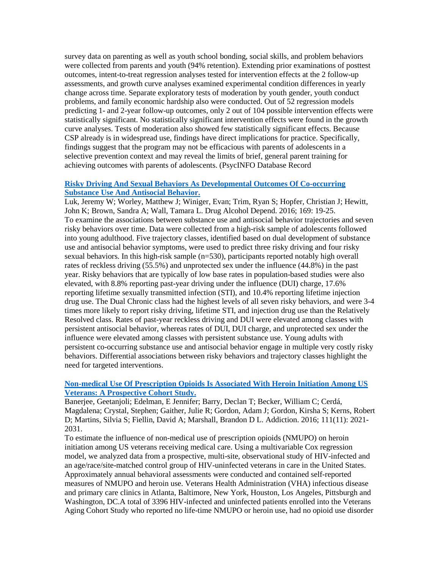survey data on parenting as well as youth school bonding, social skills, and problem behaviors were collected from parents and youth (94% retention). Extending prior examinations of posttest outcomes, intent-to-treat regression analyses tested for intervention effects at the 2 follow-up assessments, and growth curve analyses examined experimental condition differences in yearly change across time. Separate exploratory tests of moderation by youth gender, youth conduct problems, and family economic hardship also were conducted. Out of 52 regression models predicting 1- and 2-year follow-up outcomes, only 2 out of 104 possible intervention effects were statistically significant. No statistically significant intervention effects were found in the growth curve analyses. Tests of moderation also showed few statistically significant effects. Because CSP already is in widespread use, findings have direct implications for practice. Specifically, findings suggest that the program may not be efficacious with parents of adolescents in a selective prevention context and may reveal the limits of brief, general parent training for achieving outcomes with parents of adolescents. (PsycINFO Database Record

#### **[Risky Driving And Sexual Behaviors As Developmental Outcomes Of Co-occurring](http://www.ncbi.nlm.nih.gov/pubmed/27750183)  [Substance Use And Antisocial Behavior.](http://www.ncbi.nlm.nih.gov/pubmed/27750183)**

Luk, Jeremy W; Worley, Matthew J; Winiger, Evan; Trim, Ryan S; Hopfer, Christian J; Hewitt, John K; Brown, Sandra A; Wall, Tamara L. Drug Alcohol Depend. 2016; 169: 19-25. To examine the associations between substance use and antisocial behavior trajectories and seven risky behaviors over time. Data were collected from a high-risk sample of adolescents followed into young adulthood. Five trajectory classes, identified based on dual development of substance use and antisocial behavior symptoms, were used to predict three risky driving and four risky sexual behaviors. In this high-risk sample (n=530), participants reported notably high overall rates of reckless driving (55.5%) and unprotected sex under the influence (44.8%) in the past year. Risky behaviors that are typically of low base rates in population-based studies were also elevated, with 8.8% reporting past-year driving under the influence (DUI) charge, 17.6% reporting lifetime sexually transmitted infection (STI), and 10.4% reporting lifetime injection drug use. The Dual Chronic class had the highest levels of all seven risky behaviors, and were 3-4 times more likely to report risky driving, lifetime STI, and injection drug use than the Relatively Resolved class. Rates of past-year reckless driving and DUI were elevated among classes with persistent antisocial behavior, whereas rates of DUI, DUI charge, and unprotected sex under the influence were elevated among classes with persistent substance use. Young adults with persistent co-occurring substance use and antisocial behavior engage in multiple very costly risky behaviors. Differential associations between risky behaviors and trajectory classes highlight the need for targeted interventions.

## **[Non-medical Use Of Prescription Opioids Is Associated With Heroin Initiation Among US](http://www.ncbi.nlm.nih.gov/pubmed/27552496)  [Veterans: A Prospective Cohort Study.](http://www.ncbi.nlm.nih.gov/pubmed/27552496)**

Banerjee, Geetanjoli; Edelman, E Jennifer; Barry, Declan T; Becker, William C; Cerdá, Magdalena; Crystal, Stephen; Gaither, Julie R; Gordon, Adam J; Gordon, Kirsha S; Kerns, Robert D; Martins, Silvia S; Fiellin, David A; Marshall, Brandon D L. Addiction. 2016; 111(11): 2021- 2031.

To estimate the influence of non-medical use of prescription opioids (NMUPO) on heroin initiation among US veterans receiving medical care. Using a multivariable Cox regression model, we analyzed data from a prospective, multi-site, observational study of HIV-infected and an age/race/site-matched control group of HIV-uninfected veterans in care in the United States. Approximately annual behavioral assessments were conducted and contained self-reported measures of NMUPO and heroin use. Veterans Health Administration (VHA) infectious disease and primary care clinics in Atlanta, Baltimore, New York, Houston, Los Angeles, Pittsburgh and Washington, DC.A total of 3396 HIV-infected and uninfected patients enrolled into the Veterans Aging Cohort Study who reported no life-time NMUPO or heroin use, had no opioid use disorder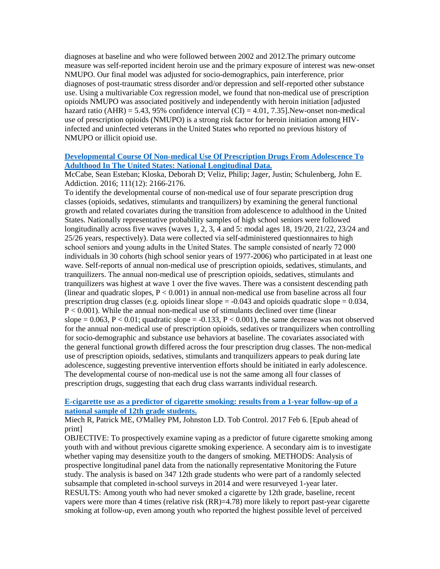diagnoses at baseline and who were followed between 2002 and 2012.The primary outcome measure was self-reported incident heroin use and the primary exposure of interest was new-onset NMUPO. Our final model was adjusted for socio-demographics, pain interference, prior diagnoses of post-traumatic stress disorder and/or depression and self-reported other substance use. Using a multivariable Cox regression model, we found that non-medical use of prescription opioids NMUPO was associated positively and independently with heroin initiation [adjusted hazard ratio (AHR) = 5.43, 95% confidence interval (CI) = 4.01, 7.35]. New-onset non-medical use of prescription opioids (NMUPO) is a strong risk factor for heroin initiation among HIVinfected and uninfected veterans in the United States who reported no previous history of NMUPO or illicit opioid use.

## **[Developmental Course Of Non-medical Use Of Prescription Drugs From Adolescence To](http://www.ncbi.nlm.nih.gov/pubmed/27338559)  [Adulthood In The United States: National Longitudinal Data.](http://www.ncbi.nlm.nih.gov/pubmed/27338559)**

McCabe, Sean Esteban; Kloska, Deborah D; Veliz, Philip; Jager, Justin; Schulenberg, John E. Addiction. 2016; 111(12): 2166-2176.

To identify the developmental course of non-medical use of four separate prescription drug classes (opioids, sedatives, stimulants and tranquilizers) by examining the general functional growth and related covariates during the transition from adolescence to adulthood in the United States. Nationally representative probability samples of high school seniors were followed longitudinally across five waves (waves 1, 2, 3, 4 and 5: modal ages 18, 19/20, 21/22, 23/24 and 25/26 years, respectively). Data were collected via self-administered questionnaires to high school seniors and young adults in the United States. The sample consisted of nearly 72 000 individuals in 30 cohorts (high school senior years of 1977-2006) who participated in at least one wave. Self-reports of annual non-medical use of prescription opioids, sedatives, stimulants, and tranquilizers. The annual non-medical use of prescription opioids, sedatives, stimulants and tranquilizers was highest at wave 1 over the five waves. There was a consistent descending path (linear and quadratic slopes,  $P < 0.001$ ) in annual non-medical use from baseline across all four prescription drug classes (e.g. opioids linear slope  $= -0.043$  and opioids quadratic slope  $= 0.034$ , P < 0.001). While the annual non-medical use of stimulants declined over time (linear slope =  $0.063$ , P <  $0.01$ ; quadratic slope =  $-0.133$ , P <  $0.001$ ), the same decrease was not observed for the annual non-medical use of prescription opioids, sedatives or tranquilizers when controlling for socio-demographic and substance use behaviors at baseline. The covariates associated with the general functional growth differed across the four prescription drug classes. The non-medical use of prescription opioids, sedatives, stimulants and tranquilizers appears to peak during late adolescence, suggesting preventive intervention efforts should be initiated in early adolescence. The developmental course of non-medical use is not the same among all four classes of prescription drugs, suggesting that each drug class warrants individual research.

## **[E-cigarette use as a predictor of cigarette smoking: results from a 1-year follow-up of a](https://www.ncbi.nlm.nih.gov/pubmed/28167683)  [national sample of 12th grade students.](https://www.ncbi.nlm.nih.gov/pubmed/28167683)**

Miech R, Patrick ME, O'Malley PM, Johnston LD. Tob Control. 2017 Feb 6. [Epub ahead of print]

OBJECTIVE: To prospectively examine vaping as a predictor of future cigarette smoking among youth with and without previous cigarette smoking experience. A secondary aim is to investigate whether vaping may desensitize youth to the dangers of smoking. METHODS: Analysis of prospective longitudinal panel data from the nationally representative Monitoring the Future study. The analysis is based on 347 12th grade students who were part of a randomly selected subsample that completed in-school surveys in 2014 and were resurveyed 1-year later. RESULTS: Among youth who had never smoked a cigarette by 12th grade, baseline, recent vapers were more than 4 times (relative risk (RR)=4.78) more likely to report past-year cigarette smoking at follow-up, even among youth who reported the highest possible level of perceived